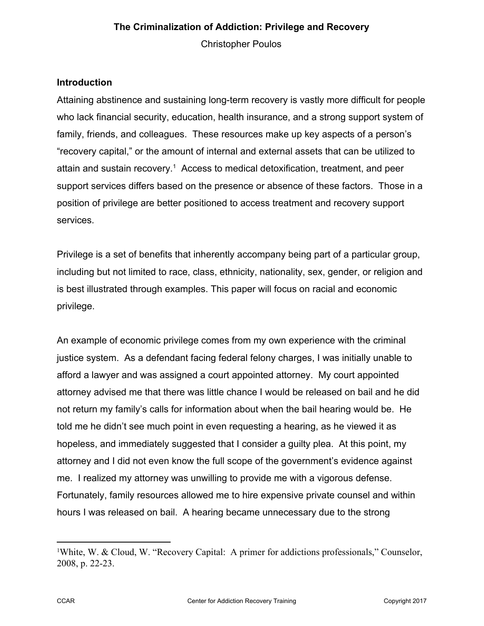Christopher Poulos

# **Introduction**

Attaining abstinence and sustaining long-term recovery is vastly more difficult for people who lack financial security, education, health insurance, and a strong support system of family, friends, and colleagues. These resources make up key aspects of a person's "recovery capital," or the amount of internal and external assets that can be utilized to attain and sustain recovery.<sup>1</sup> Access to medical detoxification, treatment, and peer support services differs based on the presence or absence of these factors. Those in a position of privilege are better positioned to access treatment and recovery support services.

Privilege is a set of benefits that inherently accompany being part of a particular group, including but not limited to race, class, ethnicity, nationality, sex, gender, or religion and is best illustrated through examples. This paper will focus on racial and economic privilege.

An example of economic privilege comes from my own experience with the criminal justice system. As a defendant facing federal felony charges, I was initially unable to afford a lawyer and was assigned a court appointed attorney. My court appointed attorney advised me that there was little chance I would be released on bail and he did not return my family's calls for information about when the bail hearing would be. He told me he didn't see much point in even requesting a hearing, as he viewed it as hopeless, and immediately suggested that I consider a guilty plea. At this point, my attorney and I did not even know the full scope of the government's evidence against me. I realized my attorney was unwilling to provide me with a vigorous defense. Fortunately, family resources allowed me to hire expensive private counsel and within hours I was released on bail. A hearing became unnecessary due to the strong

<sup>1</sup>White, W. & Cloud, W. "Recovery Capital: A primer for addictions professionals," Counselor, 2008, p. 22-23.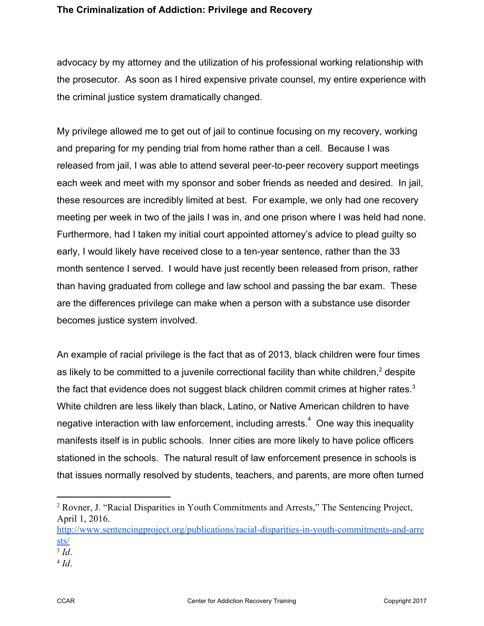advocacy by my attorney and the utilization of his professional working relationship with the prosecutor. As soon as I hired expensive private counsel, my entire experience with the criminal justice system dramatically changed.

My privilege allowed me to get out of jail to continue focusing on my recovery, working and preparing for my pending trial from home rather than a cell. Because I was released from jail, I was able to attend several peer-to-peer recovery support meetings each week and meet with my sponsor and sober friends as needed and desired. In jail, these resources are incredibly limited at best. For example, we only had one recovery meeting per week in two of the jails I was in, and one prison where I was held had none. Furthermore, had I taken my initial court appointed attorney's advice to plead guilty so early, I would likely have received close to a ten-year sentence, rather than the 33 month sentence I served. I would have just recently been released from prison, rather than having graduated from college and law school and passing the bar exam. These are the differences privilege can make when a person with a substance use disorder becomes justice system involved.

An example of racial privilege is the fact that as of 2013, black children were four times as likely to be committed to a juvenile correctional facility than white children, $2$  despite the fact that evidence does not suggest black children commit crimes at higher rates.<sup>3</sup> White children are less likely than black, Latino, or Native American children to have negative interaction with law enforcement, including arrests.<sup>4</sup> One way this inequality manifests itself is in public schools. Inner cities are more likely to have police officers stationed in the schools. The natural result of law enforcement presence in schools is that issues normally resolved by students, teachers, and parents, are more often turned

<sup>2</sup> Rovner, J. "Racial Disparities in Youth Commitments and Arrests," The Sentencing Project, April 1, 2016.

[http://www.sentencingproject.org/publications/racial-disparities-in-youth-commitments-and-arre](http://www.sentencingproject.org/publications/racial-disparities-in-youth-commitments-and-arrests/) [sts/](http://www.sentencingproject.org/publications/racial-disparities-in-youth-commitments-and-arrests/)

<sup>3</sup> *Id*.

<sup>4</sup> *Id*.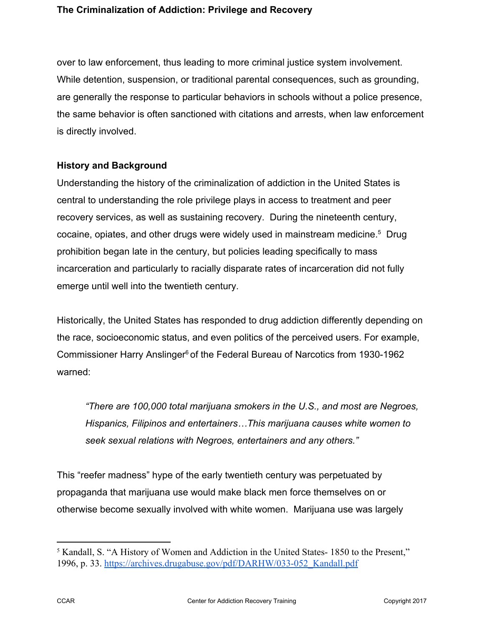over to law enforcement, thus leading to more criminal justice system involvement. While detention, suspension, or traditional parental consequences, such as grounding, are generally the response to particular behaviors in schools without a police presence, the same behavior is often sanctioned with citations and arrests, when law enforcement is directly involved.

# **History and Background**

Understanding the history of the criminalization of addiction in the United States is central to understanding the role privilege plays in access to treatment and peer recovery services, as well as sustaining recovery. During the nineteenth century, cocaine, opiates, and other drugs were widely used in mainstream medicine.<sup>5</sup> Drug prohibition began late in the century, but policies leading specifically to mass incarceration and particularly to racially disparate rates of incarceration did not fully emerge until well into the twentieth century.

Historically, the United States has responded to drug addiction differently depending on the race, socioeconomic status, and even politics of the perceived users. For example, Commissioner Harry Anslinger<sup>6</sup> of the Federal Bureau of Narcotics from 1930-1962 warned:

*"There are 100,000 total marijuana smokers in the U.S., and most are Negroes, Hispanics, Filipinos and entertainers…This marijuana causes white women to seek sexual relations with Negroes, entertainers and any others."* 

This "reefer madness" hype of the early twentieth century was perpetuated by propaganda that marijuana use would make black men force themselves on or otherwise become sexually involved with white women. Marijuana use was largely

<sup>5</sup> Kandall, S. "A History of Women and Addiction in the United States- 1850 to the Present," 1996, p. 33. [https://archives.drugabuse.gov/pdf/DARHW/033-052\\_Kandall.pdf](https://archives.drugabuse.gov/pdf/DARHW/033-052_Kandall.pdf)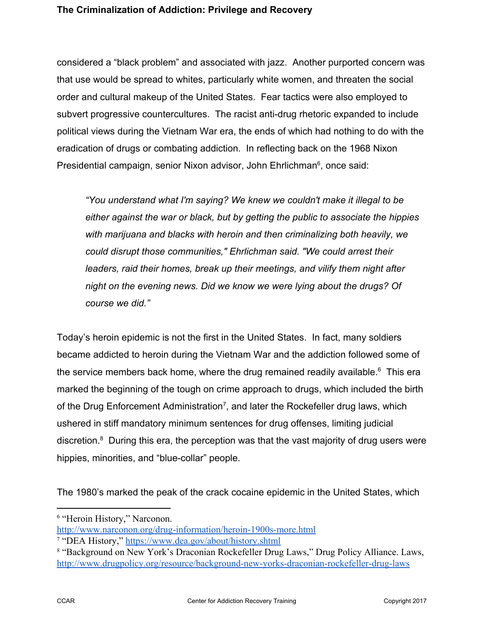considered a "black problem" and associated with jazz. Another purported concern was that use would be spread to whites, particularly white women, and threaten the social order and cultural makeup of the United States. Fear tactics were also employed to subvert progressive countercultures. The racist anti-drug rhetoric expanded to include political views during the Vietnam War era, the ends of which had nothing to do with the eradication of drugs or combating addiction. In reflecting back on the 1968 Nixon Presidential campaign, senior Nixon advisor, John Ehrlichman<sup>6</sup>, once said:

*"You understand what I'm saying? We knew we couldn't make it illegal to be either against the war or black, but by getting the public to associate the hippies with marijuana and blacks with heroin and then criminalizing both heavily, we could disrupt those communities," Ehrlichman said. "We could arrest their leaders, raid their homes, break up their meetings, and vilify them night after night on the evening news. Did we know we were lying about the drugs? Of course we did."* 

Today's heroin epidemic is not the first in the United States. In fact, many soldiers became addicted to heroin during the Vietnam War and the addiction followed some of the service members back home, where the drug remained readily available.<sup>6</sup> This era marked the beginning of the tough on crime approach to drugs, which included the birth of the Drug Enforcement Administration<sup>7</sup>, and later the Rockefeller drug laws, which ushered in stiff mandatory minimum sentences for drug offenses, limiting judicial discretion.<sup>8</sup> During this era, the perception was that the vast majority of drug users were hippies, minorities, and "blue-collar" people.

The 1980's marked the peak of the crack cocaine epidemic in the United States, which

<sup>6</sup> "Heroin History," Narconon.

<http://www.narconon.org/drug-information/heroin-1900s-more.html>

<sup>7</sup> "DEA History," <https://www.dea.gov/about/history.shtml>

<sup>8</sup> "Background on New York's Draconian Rockefeller Drug Laws," Drug Policy Alliance. Laws, <http://www.drugpolicy.org/resource/background-new-yorks-draconian-rockefeller-drug-laws>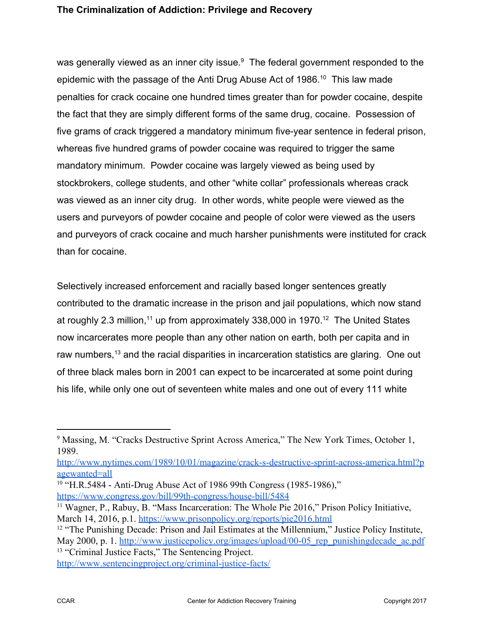was generally viewed as an inner city issue. $9$  The federal government responded to the epidemic with the passage of the Anti Drug Abuse Act of 1986.<sup>10</sup> This law made penalties for crack cocaine one hundred times greater than for powder cocaine, despite the fact that they are simply different forms of the same drug, cocaine. Possession of five grams of crack triggered a mandatory minimum five-year sentence in federal prison, whereas five hundred grams of powder cocaine was required to trigger the same mandatory minimum. Powder cocaine was largely viewed as being used by stockbrokers, college students, and other "white collar" professionals whereas crack was viewed as an inner city drug. In other words, white people were viewed as the users and purveyors of powder cocaine and people of color were viewed as the users and purveyors of crack cocaine and much harsher punishments were instituted for crack than for cocaine.

Selectively increased enforcement and racially based longer sentences greatly contributed to the dramatic increase in the prison and jail populations, which now stand at roughly 2.3 million,<sup>11</sup> up from approximately 338,000 in 1970.<sup>12</sup> The United States now incarcerates more people than any other nation on earth, both per capita and in raw numbers,  $13$  and the racial disparities in incarceration statistics are glaring. One out of three black males born in 2001 can expect to be incarcerated at some point during his life, while only one out of seventeen white males and one out of every 111 white

[http://www.nytimes.com/1989/10/01/magazine/crack-s-destructive-sprint-across-america.html?p](http://www.nytimes.com/1989/10/01/magazine/crack-s-destructive-sprint-across-america.html?pagewanted=all) [agewanted=all](http://www.nytimes.com/1989/10/01/magazine/crack-s-destructive-sprint-across-america.html?pagewanted=all)

CCAR CENTER CENTER CENTER COPYRIGHT CONTRACT CONTRACT COPYRIGHT 2017

<sup>&</sup>lt;sup>9</sup> Massing, M. "Cracks Destructive Sprint Across America," The New York Times, October 1, 1989.

<sup>10</sup> "H.R.5484 - Anti-Drug Abuse Act of 1986 99th Congress (1985-1986),"

<https://www.congress.gov/bill/99th-congress/house-bill/5484>

<sup>11</sup> Wagner, P., Rabuy, B. "Mass Incarceration: The Whole Pie 2016," Prison Policy Initiative, March 14, 2016, p.1. <https://www.prisonpolicy.org/reports/pie2016.html>

<sup>&</sup>lt;sup>12</sup> "The Punishing Decade: Prison and Jail Estimates at the Millennium," Justice Policy Institute, May 2000, p. 1. http://www.justicepolicy.org/images/upload/00-05 rep\_punishingdecade\_ac.pdf <sup>13</sup> "Criminal Justice Facts," The Sentencing Project. <http://www.sentencingproject.org/criminal-justice-facts/>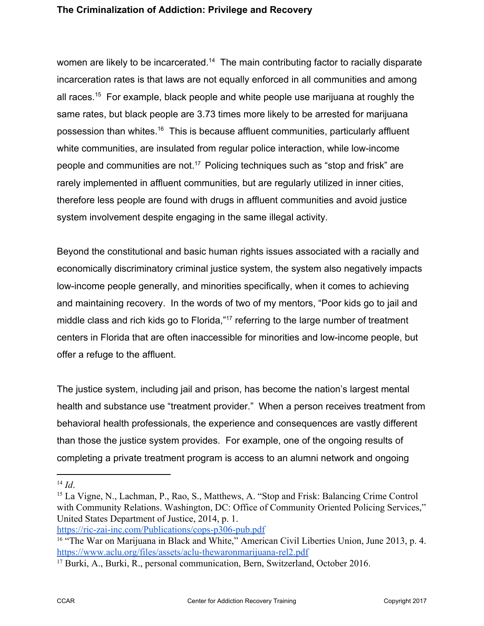women are likely to be incarcerated.<sup> $14$ </sup> The main contributing factor to racially disparate incarceration rates is that laws are not equally enforced in all communities and among all races.<sup>15</sup> For example, black people and white people use marijuana at roughly the same rates, but black people are 3.73 times more likely to be arrested for marijuana possession than whites.<sup>16</sup> This is because affluent communities, particularly affluent white communities, are insulated from regular police interaction, while low-income people and communities are not.<sup>17</sup> Policing techniques such as "stop and frisk" are rarely implemented in affluent communities, but are regularly utilized in inner cities, therefore less people are found with drugs in affluent communities and avoid justice system involvement despite engaging in the same illegal activity.

Beyond the constitutional and basic human rights issues associated with a racially and economically discriminatory criminal justice system, the system also negatively impacts low-income people generally, and minorities specifically, when it comes to achieving and maintaining recovery. In the words of two of my mentors, "Poor kids go to jail and middle class and rich kids go to Florida,"<sup>17</sup> referring to the large number of treatment centers in Florida that are often inaccessible for minorities and low-income people, but offer a refuge to the affluent.

The justice system, including jail and prison, has become the nation's largest mental health and substance use "treatment provider." When a person receives treatment from behavioral health professionals, the experience and consequences are vastly different than those the justice system provides. For example, one of the ongoing results of completing a private treatment program is access to an alumni network and ongoing

<sup>14</sup> *Id*.

<sup>15</sup> La Vigne, N., Lachman, P., Rao, S., Matthews, A. "Stop and Frisk: Balancing Crime Control with Community Relations. Washington, DC: Office of Community Oriented Policing Services," United States Department of Justice, 2014, p. 1.

<https://ric-zai-inc.com/Publications/cops-p306-pub.pdf>

<sup>&</sup>lt;sup>16</sup> "The War on Marijuana in Black and White," American Civil Liberties Union, June 2013, p. 4. <https://www.aclu.org/files/assets/aclu-thewaronmarijuana-rel2.pdf>

<sup>17</sup> Burki, A., Burki, R., personal communication, Bern, Switzerland, October 2016.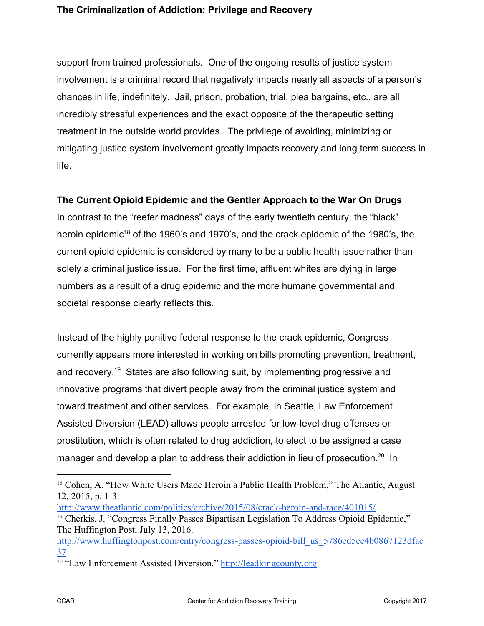support from trained professionals. One of the ongoing results of justice system involvement is a criminal record that negatively impacts nearly all aspects of a person's chances in life, indefinitely. Jail, prison, probation, trial, plea bargains, etc., are all incredibly stressful experiences and the exact opposite of the therapeutic setting treatment in the outside world provides. The privilege of avoiding, minimizing or mitigating justice system involvement greatly impacts recovery and long term success in life.

# **The Current Opioid Epidemic and the Gentler Approach to the War On Drugs**

In contrast to the "reefer madness" days of the early twentieth century, the "black" heroin epidemic<sup>18</sup> of the 1960's and 1970's, and the crack epidemic of the 1980's, the current opioid epidemic is considered by many to be a public health issue rather than solely a criminal justice issue. For the first time, affluent whites are dying in large numbers as a result of a drug epidemic and the more humane governmental and societal response clearly reflects this.

Instead of the highly punitive federal response to the crack epidemic, Congress currently appears more interested in working on bills promoting prevention, treatment, and recovery.<sup>19</sup> States are also following suit, by implementing progressive and innovative programs that divert people away from the criminal justice system and toward treatment and other services. For example, in Seattle, Law Enforcement Assisted Diversion (LEAD) allows people arrested for low-level drug offenses or prostitution, which is often related to drug addiction, to elect to be assigned a case manager and develop a plan to address their addiction in lieu of prosecution.<sup>20</sup> In

<http://www.theatlantic.com/politics/archive/2015/08/crack-heroin-and-race/401015/>

<sup>&</sup>lt;sup>18</sup> Cohen, A. "How White Users Made Heroin a Public Health Problem," The Atlantic, August 12, 2015, p. 1-3.

<sup>19</sup> Cherkis, J. "Congress Finally Passes Bipartisan Legislation To Address Opioid Epidemic," The Huffington Post, July 13, 2016.

[http://www.huffingtonpost.com/entry/congress-passes-opioid-bill\\_us\\_5786ed5ee4b0867123dfac](http://www.huffingtonpost.com/entry/congress-passes-opioid-bill_us_5786ed5ee4b0867123dfac37) [37](http://www.huffingtonpost.com/entry/congress-passes-opioid-bill_us_5786ed5ee4b0867123dfac37)

<sup>20</sup> "Law Enforcement Assisted Diversion." [http://leadkingcounty.org](http://leadkingcounty.org/)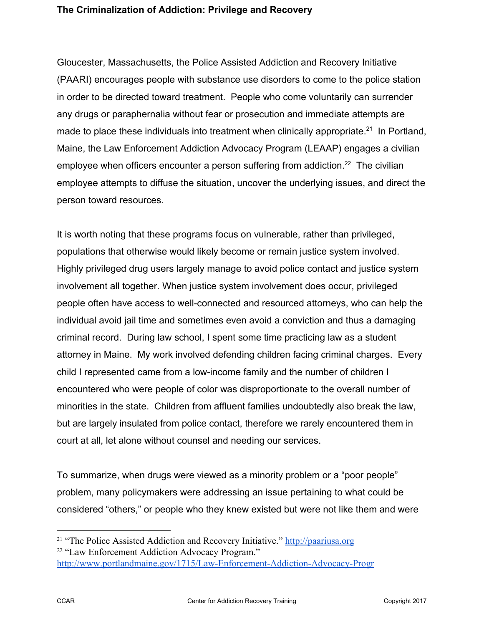Gloucester, Massachusetts, the Police Assisted Addiction and Recovery Initiative (PAARI) encourages people with substance use disorders to come to the police station in order to be directed toward treatment. People who come voluntarily can surrender any drugs or paraphernalia without fear or prosecution and immediate attempts are made to place these individuals into treatment when clinically appropriate.<sup>21</sup> In Portland, Maine, the Law Enforcement Addiction Advocacy Program (LEAAP) engages a civilian employee when officers encounter a person suffering from addiction.<sup>22</sup> The civilian employee attempts to diffuse the situation, uncover the underlying issues, and direct the person toward resources.

It is worth noting that these programs focus on vulnerable, rather than privileged, populations that otherwise would likely become or remain justice system involved. Highly privileged drug users largely manage to avoid police contact and justice system involvement all together. When justice system involvement does occur, privileged people often have access to well-connected and resourced attorneys, who can help the individual avoid jail time and sometimes even avoid a conviction and thus a damaging criminal record. During law school, I spent some time practicing law as a student attorney in Maine. My work involved defending children facing criminal charges. Every child I represented came from a low-income family and the number of children I encountered who were people of color was disproportionate to the overall number of minorities in the state. Children from affluent families undoubtedly also break the law, but are largely insulated from police contact, therefore we rarely encountered them in court at all, let alone without counsel and needing our services.

To summarize, when drugs were viewed as a minority problem or a "poor people" problem, many policymakers were addressing an issue pertaining to what could be considered "others," or people who they knew existed but were not like them and were

<sup>&</sup>lt;sup>21</sup> "The Police Assisted Addiction and Recovery Initiative." [http://paariusa.org](http://paariusa.org/) <sup>22</sup> "Law Enforcement Addiction Advocacy Program." <http://www.portlandmaine.gov/1715/Law-Enforcement-Addiction-Advocacy-Progr>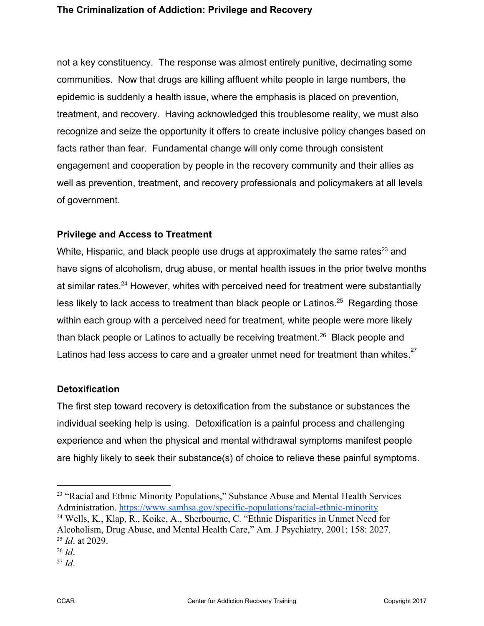not a key constituency. The response was almost entirely punitive, decimating some communities. Now that drugs are killing affluent white people in large numbers, the epidemic is suddenly a health issue, where the emphasis is placed on prevention, treatment, and recovery. Having acknowledged this troublesome reality, we must also recognize and seize the opportunity it offers to create inclusive policy changes based on facts rather than fear. Fundamental change will only come through consistent engagement and cooperation by people in the recovery community and their allies as well as prevention, treatment, and recovery professionals and policymakers at all levels of government.

# **Privilege and Access to Treatment**

White, Hispanic, and black people use drugs at approximately the same rates<sup>23</sup> and have signs of alcoholism, drug abuse, or mental health issues in the prior twelve months at similar rates. $24$  However, whites with perceived need for treatment were substantially less likely to lack access to treatment than black people or Latinos.<sup>25</sup> Regarding those within each group with a perceived need for treatment, white people were more likely than black people or Latinos to actually be receiving treatment.<sup>26</sup> Black people and Latinos had less access to care and a greater unmet need for treatment than whites. $27$ 

# **Detoxification**

The first step toward recovery is detoxification from the substance or substances the individual seeking help is using. Detoxification is a painful process and challenging experience and when the physical and mental withdrawal symptoms manifest people are highly likely to seek their substance(s) of choice to relieve these painful symptoms.

<sup>&</sup>lt;sup>23</sup> "Racial and Ethnic Minority Populations," Substance Abuse and Mental Health Services Administration. <https://www.samhsa.gov/specific-populations/racial-ethnic-minority> <sup>24</sup> Wells, K., Klap, R., Koike, A., Sherbourne, C. "Ethnic Disparities in Unmet Need for

Alcoholism, Drug Abuse, and Mental Health Care," Am. J Psychiatry, 2001; 158: 2027. <sup>25</sup> *Id*. at 2029.

<sup>26</sup> *Id*.

<sup>27</sup> *Id*.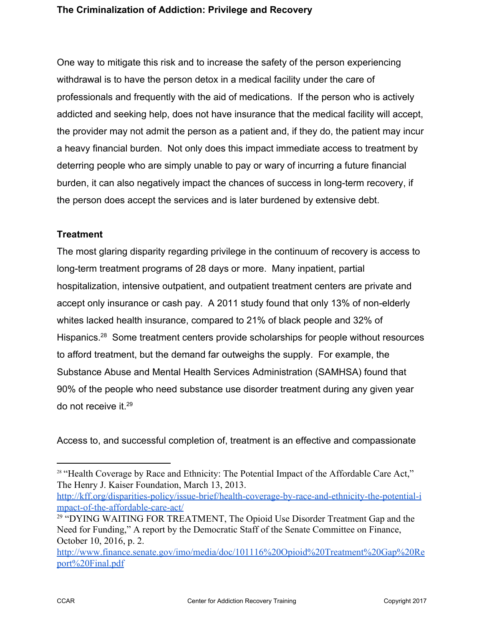One way to mitigate this risk and to increase the safety of the person experiencing withdrawal is to have the person detox in a medical facility under the care of professionals and frequently with the aid of medications. If the person who is actively addicted and seeking help, does not have insurance that the medical facility will accept, the provider may not admit the person as a patient and, if they do, the patient may incur a heavy financial burden. Not only does this impact immediate access to treatment by deterring people who are simply unable to pay or wary of incurring a future financial burden, it can also negatively impact the chances of success in long-term recovery, if the person does accept the services and is later burdened by extensive debt.

# **Treatment**

The most glaring disparity regarding privilege in the continuum of recovery is access to long-term treatment programs of 28 days or more. Many inpatient, partial hospitalization, intensive outpatient, and outpatient treatment centers are private and accept only insurance or cash pay. A 2011 study found that only 13% of non-elderly whites lacked health insurance, compared to 21% of black people and 32% of Hispanics.  $28$  Some treatment centers provide scholarships for people without resources to afford treatment, but the demand far outweighs the supply. For example, the Substance Abuse and Mental Health Services Administration (SAMHSA) found that 90% of the people who need substance use disorder treatment during any given year do not receive it. <sup>29</sup>

Access to, and successful completion of, treatment is an effective and compassionate

[http://kff.org/disparities-policy/issue-brief/health-coverage-by-race-and-ethnicity-the-potential-i](http://kff.org/disparities-policy/issue-brief/health-coverage-by-race-and-ethnicity-the-potential-impact-of-the-affordable-care-act/) [mpact-of-the-affordable-care-act/](http://kff.org/disparities-policy/issue-brief/health-coverage-by-race-and-ethnicity-the-potential-impact-of-the-affordable-care-act/)

<sup>&</sup>lt;sup>28</sup> "Health Coverage by Race and Ethnicity: The Potential Impact of the Affordable Care Act," The Henry J. Kaiser Foundation, March 13, 2013.

<sup>&</sup>lt;sup>29</sup> "DYING WAITING FOR TREATMENT, The Opioid Use Disorder Treatment Gap and the Need for Funding," A report by the Democratic Staff of the Senate Committee on Finance, October 10, 2016, p. 2.

[http://www.finance.senate.gov/imo/media/doc/101116%20Opioid%20Treatment%20Gap%20Re](http://www.finance.senate.gov/imo/media/doc/101116%20Opioid%20Treatment%20Gap%20Report%20Final.pdf) [port%20Final.pdf](http://www.finance.senate.gov/imo/media/doc/101116%20Opioid%20Treatment%20Gap%20Report%20Final.pdf)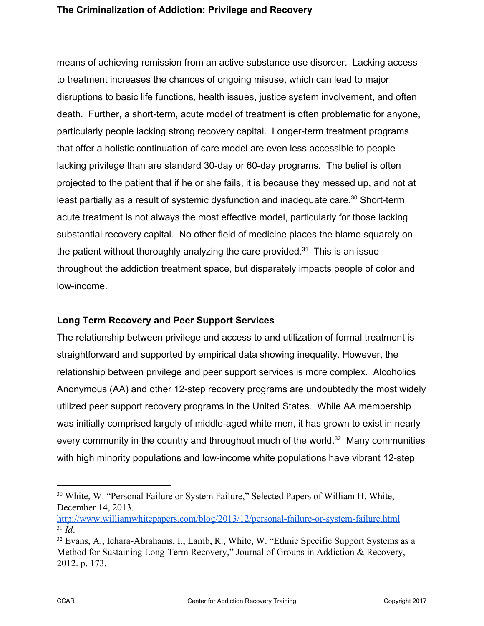means of achieving remission from an active substance use disorder. Lacking access to treatment increases the chances of ongoing misuse, which can lead to major disruptions to basic life functions, health issues, justice system involvement, and often death. Further, a short-term, acute model of treatment is often problematic for anyone, particularly people lacking strong recovery capital. Longer-term treatment programs that offer a holistic continuation of care model are even less accessible to people lacking privilege than are standard 30-day or 60-day programs. The belief is often projected to the patient that if he or she fails, it is because they messed up, and not at least partially as a result of systemic dysfunction and inadequate care.<sup>30</sup> Short-term acute treatment is not always the most effective model, particularly for those lacking substantial recovery capital. No other field of medicine places the blame squarely on the patient without thoroughly analyzing the care provided.<sup>31</sup> This is an issue throughout the addiction treatment space, but disparately impacts people of color and low-income.

### **Long Term Recovery and Peer Support Services**

The relationship between privilege and access to and utilization of formal treatment is straightforward and supported by empirical data showing inequality. However, the relationship between privilege and peer support services is more complex. Alcoholics Anonymous (AA) and other 12-step recovery programs are undoubtedly the most widely utilized peer support recovery programs in the United States. While AA membership was initially comprised largely of middle-aged white men, it has grown to exist in nearly every community in the country and throughout much of the world.<sup>32</sup> Many communities with high minority populations and low-income white populations have vibrant 12-step

<sup>30</sup> White, W. "Personal Failure or System Failure," Selected Papers of William H. White, December 14, 2013.

<http://www.williamwhitepapers.com/blog/2013/12/personal-failure-or-system-failure.html> <sup>31</sup> *Id*.

<sup>32</sup> Evans, A., Ichara-Abrahams, I., Lamb, R., White, W. "Ethnic Specific Support Systems as a Method for Sustaining Long-Term Recovery," Journal of Groups in Addiction & Recovery, 2012. p. 173.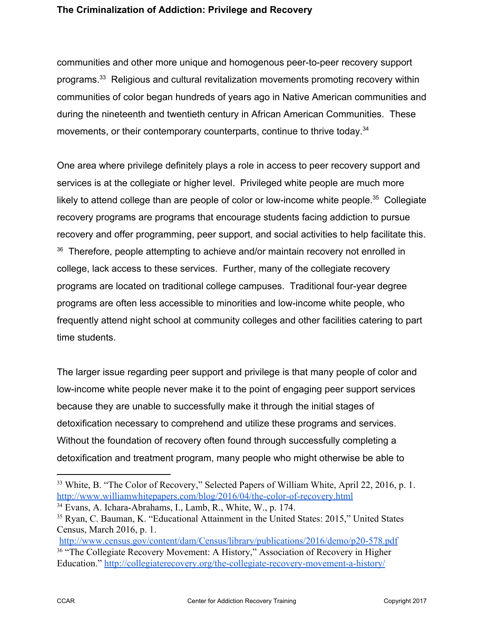communities and other more unique and homogenous peer-to-peer recovery support programs.<sup>33</sup> Religious and cultural revitalization movements promoting recovery within communities of color began hundreds of years ago in Native American communities and during the nineteenth and twentieth century in African American Communities. These movements, or their contemporary counterparts, continue to thrive today.<sup>34</sup>

One area where privilege definitely plays a role in access to peer recovery support and services is at the collegiate or higher level. Privileged white people are much more likely to attend college than are people of color or low-income white people.<sup>35</sup> Collegiate recovery programs are programs that encourage students facing addiction to pursue recovery and offer programming, peer support, and social activities to help facilitate this.  $36$  Therefore, people attempting to achieve and/or maintain recovery not enrolled in college, lack access to these services. Further, many of the collegiate recovery programs are located on traditional college campuses. Traditional four-year degree programs are often less accessible to minorities and low-income white people, who frequently attend night school at community colleges and other facilities catering to part time students.

The larger issue regarding peer support and privilege is that many people of color and low-income white people never make it to the point of engaging peer support services because they are unable to successfully make it through the initial stages of detoxification necessary to comprehend and utilize these programs and services. Without the foundation of recovery often found through successfully completing a detoxification and treatment program, many people who might otherwise be able to

<sup>33</sup> White, B. "The Color of Recovery," Selected Papers of William White, April 22, 2016, p. 1. <http://www.williamwhitepapers.com/blog/2016/04/the-color-of-recovery.html>

<sup>34</sup> Evans, A. Ichara-Abrahams, I., Lamb, R., White, W., p. 174.

<sup>35</sup> Ryan, C. Bauman, K. "Educational Attainment in the United States: 2015," United States Census, March 2016, p. 1.

<http://www.census.gov/content/dam/Census/library/publications/2016/demo/p20-578.pdf> <sup>36</sup> "The Collegiate Recovery Movement: A History," Association of Recovery in Higher Education." <http://collegiaterecovery.org/the-collegiate-recovery-movement-a-history/>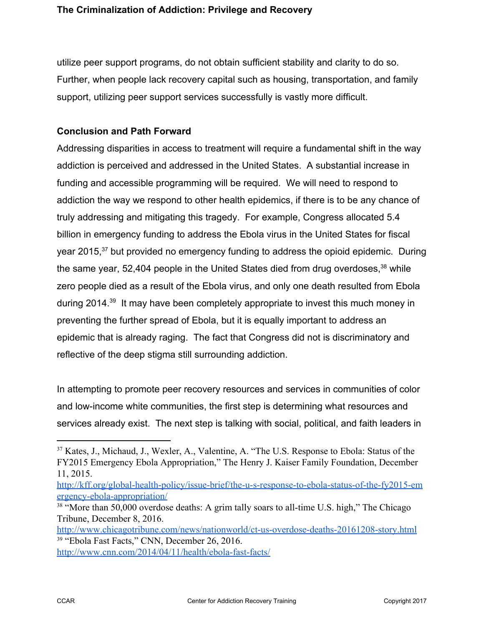utilize peer support programs, do not obtain sufficient stability and clarity to do so. Further, when people lack recovery capital such as housing, transportation, and family support, utilizing peer support services successfully is vastly more difficult.

# **Conclusion and Path Forward**

Addressing disparities in access to treatment will require a fundamental shift in the way addiction is perceived and addressed in the United States. A substantial increase in funding and accessible programming will be required. We will need to respond to addiction the way we respond to other health epidemics, if there is to be any chance of truly addressing and mitigating this tragedy. For example, Congress allocated 5.4 billion in emergency funding to address the Ebola virus in the United States for fiscal year 2015,<sup>37</sup> but provided no emergency funding to address the opioid epidemic. During the same year, 52,404 people in the United States died from drug overdoses,  $38$  while zero people died as a result of the Ebola virus, and only one death resulted from Ebola during 2014.<sup>39</sup> It may have been completely appropriate to invest this much money in preventing the further spread of Ebola, but it is equally important to address an epidemic that is already raging. The fact that Congress did not is discriminatory and reflective of the deep stigma still surrounding addiction.

In attempting to promote peer recovery resources and services in communities of color and low-income white communities, the first step is determining what resources and services already exist. The next step is talking with social, political, and faith leaders in

<http://www.chicagotribune.com/news/nationworld/ct-us-overdose-deaths-20161208-story.html> <sup>39</sup> "Ebola Fast Facts," CNN, December 26, 2016.

<http://www.cnn.com/2014/04/11/health/ebola-fast-facts/>

<sup>37</sup> Kates, J., Michaud, J., Wexler, A., Valentine, A. "The U.S. Response to Ebola: Status of the FY2015 Emergency Ebola Appropriation," The Henry J. Kaiser Family Foundation, December 11, 2015.

[http://kff.org/global-health-policy/issue-brief/the-u-s-response-to-ebola-status-of-the-fy2015-em](http://kff.org/global-health-policy/issue-brief/the-u-s-response-to-ebola-status-of-the-fy2015-emergency-ebola-appropriation/) [ergency-ebola-appropriation/](http://kff.org/global-health-policy/issue-brief/the-u-s-response-to-ebola-status-of-the-fy2015-emergency-ebola-appropriation/)

<sup>&</sup>lt;sup>38</sup> "More than 50,000 overdose deaths: A grim tally soars to all-time U.S. high," The Chicago Tribune, December 8, 2016.